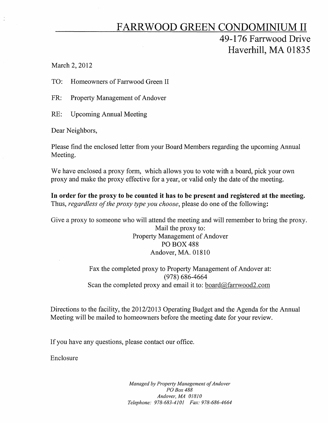## FARRWOOD GREEN CONDOMINIUM II 49-176 Farrwood Drive Haverhill, MA 01835

March 2, 2012

 $\frac{1}{2}$ 

TO: Homeowners of Fanwood Green II

FR: Property Management of Andover

RE: Upcoming Annual Meeting

Dear Neighbors,

Please find the enclosed letter from your Board Members regarding the upcoming Annual Meeting.

We have enclosed a proxy form, which allows you to vote with a board, pick your own proxy and make the proxy effective for a year, or valid only the date of the meeting.

In order for the proxy to be counted it has to be present and registered at the meeting. Thus, *regardless of the proxy type you choose,* please do one of the following:

Give a proxy to someone who will attend the meeting and will remember to bring the proxy. Mail the proxy to: Property Management of Andover PO BOX 488 Andover, MA. 01810

> Fax the completed proxy to Property Management of Andover at: (978) 686-4664 Scan the completed proxy and email it to: board@farrwood2.com

Directions to the facility, the 2012/2013 Operating Budget and the Agenda for the Annual Meeting will be mailed to homeowners before the meeting date for your review.

If you have any questions, please contact our office.

Enclosure

*Managed by Property Management of Andover POBox* 488 *Andover, MA 01810 Telephone: 978-683-4101 Fax: 978-686-4664*